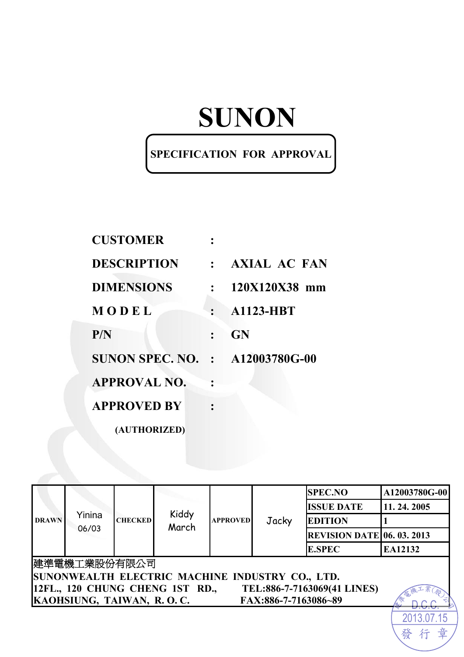# **SUNON**

## **SPECIFICATION FOR APPROVAL**

| <b>CUSTOMER</b>                        |               |                     |
|----------------------------------------|---------------|---------------------|
| <b>DESCRIPTION</b>                     | $\frac{1}{2}$ | <b>AXIAL AC FAN</b> |
| <b>DIMENSIONS</b>                      |               | 120X120X38 mm       |
| MODEL                                  |               | <b>A1123-HBT</b>    |
| P/N                                    |               | <b>GN</b>           |
| <b>SUNON SPEC. NO. : A12003780G-00</b> |               |                     |
| <b>APPROVAL NO.</b>                    |               |                     |
| <b>APPROVED BY</b>                     |               |                     |
| (AUTHORIZED)                           |               |                     |

| <b>DRAWN</b>                                                   | Yinina<br>06/03           | <b>CHECKED</b> | Kiddy<br>March | <b>APPROVED</b> | Jacky                | <b>SPEC.NO</b>                    | A12003780G-00 |  |  |
|----------------------------------------------------------------|---------------------------|----------------|----------------|-----------------|----------------------|-----------------------------------|---------------|--|--|
|                                                                |                           |                |                |                 |                      | <b>ISSUE DATE</b>                 | 11.24.2005    |  |  |
|                                                                |                           |                |                |                 |                      | <b>EDITION</b>                    |               |  |  |
|                                                                |                           |                |                |                 |                      | <b>REVISION DATE 06. 03. 2013</b> |               |  |  |
|                                                                |                           |                |                |                 |                      | <b>E.SPEC</b>                     | EA12132       |  |  |
|                                                                | 建準電機工業股份有限公司              |                |                |                 |                      |                                   |               |  |  |
| SUNONWEALTH ELECTRIC MACHINE INDUSTRY CO., LTD.                |                           |                |                |                 |                      |                                   |               |  |  |
| 12FL., 120 CHUNG CHENG 1ST RD.,<br>TEL:886-7-7163069(41 LINES) |                           |                |                |                 |                      |                                   |               |  |  |
|                                                                | KAOHSIUNG, TAIWAN, R.O.C. |                |                |                 | FAX:886-7-7163086~89 |                                   |               |  |  |
|                                                                |                           |                |                |                 |                      |                                   |               |  |  |

發

行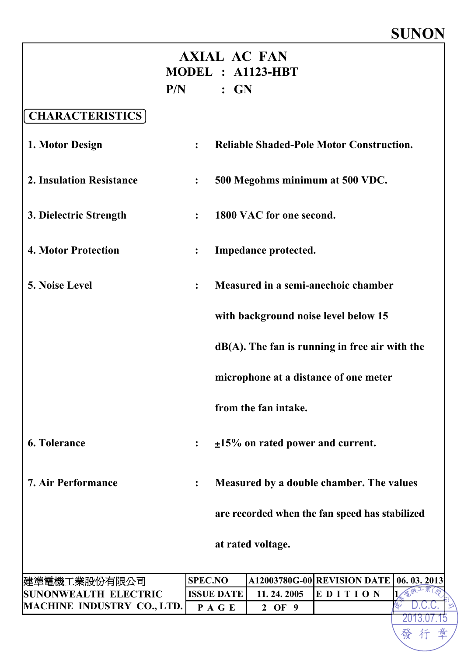# **SUNON**

2013.07.15

章

發行

|                                 |                   |                                          | <b>AXIAL AC FAN</b>                    |                                                   |            |  |
|---------------------------------|-------------------|------------------------------------------|----------------------------------------|---------------------------------------------------|------------|--|
|                                 |                   |                                          | MODEL : A1123-HBT                      |                                                   |            |  |
|                                 | $P/N$ : GN        |                                          |                                        |                                                   |            |  |
| <b>CHARACTERISTICS</b>          |                   |                                          |                                        |                                                   |            |  |
| 1. Motor Design                 | $\ddot{\cdot}$    |                                          |                                        | <b>Reliable Shaded-Pole Motor Construction.</b>   |            |  |
| <b>2. Insulation Resistance</b> | $\ddot{\bullet}$  |                                          |                                        | 500 Megohms minimum at 500 VDC.                   |            |  |
| 3. Dielectric Strength          |                   |                                          | 1800 VAC for one second.               |                                                   |            |  |
| <b>4. Motor Protection</b>      |                   |                                          | Impedance protected.                   |                                                   |            |  |
| 5. Noise Level                  | $\ddot{\cdot}$    |                                          |                                        | Measured in a semi-anechoic chamber               |            |  |
|                                 |                   |                                          |                                        | with background noise level below 15              |            |  |
|                                 |                   |                                          |                                        | $dB(A)$ . The fan is running in free air with the |            |  |
|                                 |                   |                                          |                                        | microphone at a distance of one meter             |            |  |
|                                 |                   |                                          | from the fan intake.                   |                                                   |            |  |
| <b>6. Tolerance</b>             |                   |                                          | $\pm 15\%$ on rated power and current. |                                                   |            |  |
| <b>7. Air Performance</b>       |                   | Measured by a double chamber. The values |                                        |                                                   |            |  |
|                                 |                   |                                          |                                        | are recorded when the fan speed has stabilized    |            |  |
|                                 |                   |                                          | at rated voltage.                      |                                                   |            |  |
| 建準電機工業股份有限公司                    | <b>SPEC.NO</b>    |                                          |                                        | A12003780G-00 REVISION DATE                       | 06.03.2013 |  |
| <b>SUNONWEALTH ELECTRIC</b>     | <b>ISSUE DATE</b> |                                          | 11.24.2005                             | EDITION                                           |            |  |
| MACHINE INDUSTRY CO., LTD.      | PAGE              |                                          | 2 OF 9                                 |                                                   |            |  |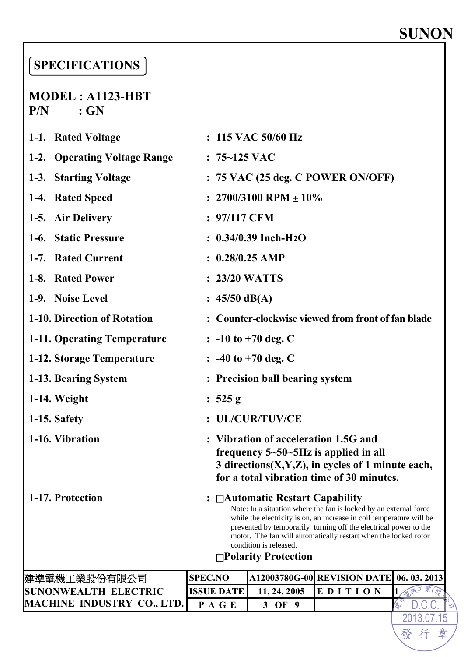# **SUNON**

2013.07.15  $D C$ 

章

發行

## **SPECIFICATIONS**

### **MODEL : A1123-HBT P/N : GN**

| <b>SUNONWEALTH ELECTRIC</b>  | <b>ISSUE DATE</b>                                                                                                                                                                                                                                                                                                                                                           | 11.24.2005                                                                                                                                                                            | EDITION |  |            |  |
|------------------------------|-----------------------------------------------------------------------------------------------------------------------------------------------------------------------------------------------------------------------------------------------------------------------------------------------------------------------------------------------------------------------------|---------------------------------------------------------------------------------------------------------------------------------------------------------------------------------------|---------|--|------------|--|
| 建準電機工業股份有限公司                 | <b>SPEC.NO</b>                                                                                                                                                                                                                                                                                                                                                              | A12003780G-00 REVISION DATE                                                                                                                                                           |         |  | 06.03.2013 |  |
| 1-17. Protection             | : $\Box$ Automatic Restart Capability<br>Note: In a situation where the fan is locked by an external force<br>while the electricity is on, an increase in coil temperature will be<br>prevented by temporarily turning off the electrical power to the<br>motor. The fan will automatically restart when the locked rotor<br>condition is released.<br>□Polarity Protection |                                                                                                                                                                                       |         |  |            |  |
| 1-16. Vibration              |                                                                                                                                                                                                                                                                                                                                                                             | : Vibration of acceleration 1.5G and<br>frequency $5-50-5Hz$ is applied in all<br>3 directions $(X, Y, Z)$ , in cycles of 1 minute each,<br>for a total vibration time of 30 minutes. |         |  |            |  |
| 1-15. Safety                 |                                                                                                                                                                                                                                                                                                                                                                             | : UL/CUR/TUV/CE                                                                                                                                                                       |         |  |            |  |
| 1-14. Weight                 | : 525 g                                                                                                                                                                                                                                                                                                                                                                     |                                                                                                                                                                                       |         |  |            |  |
| 1-13. Bearing System         |                                                                                                                                                                                                                                                                                                                                                                             | : Precision ball bearing system                                                                                                                                                       |         |  |            |  |
| 1-12. Storage Temperature    |                                                                                                                                                                                                                                                                                                                                                                             | $\therefore$ -40 to +70 deg. C                                                                                                                                                        |         |  |            |  |
| 1-11. Operating Temperature  |                                                                                                                                                                                                                                                                                                                                                                             | $\therefore$ -10 to +70 deg. C                                                                                                                                                        |         |  |            |  |
| 1-10. Direction of Rotation  |                                                                                                                                                                                                                                                                                                                                                                             | : Counter-clockwise viewed from front of fan blade                                                                                                                                    |         |  |            |  |
| 1-9. Noise Level             | : $45/50$ dB(A)                                                                                                                                                                                                                                                                                                                                                             |                                                                                                                                                                                       |         |  |            |  |
| 1-8. Rated Power             | : 23/20 WATTS                                                                                                                                                                                                                                                                                                                                                               |                                                                                                                                                                                       |         |  |            |  |
| 1-7. Rated Current           | $: 0.28/0.25$ AMP                                                                                                                                                                                                                                                                                                                                                           |                                                                                                                                                                                       |         |  |            |  |
| 1-6. Static Pressure         |                                                                                                                                                                                                                                                                                                                                                                             | $: 0.34/0.39$ Inch-H <sub>2</sub> O                                                                                                                                                   |         |  |            |  |
| 1-5. Air Delivery            | : 97/117 CFM                                                                                                                                                                                                                                                                                                                                                                |                                                                                                                                                                                       |         |  |            |  |
| 1-4. Rated Speed             | : $2700/3100$ RPM $\pm 10\%$                                                                                                                                                                                                                                                                                                                                                |                                                                                                                                                                                       |         |  |            |  |
| 1-3. Starting Voltage        |                                                                                                                                                                                                                                                                                                                                                                             | $: 75$ VAC (25 deg. C POWER ON/OFF)                                                                                                                                                   |         |  |            |  |
| 1-2. Operating Voltage Range | $: 75 - 125$ VAC                                                                                                                                                                                                                                                                                                                                                            |                                                                                                                                                                                       |         |  |            |  |
| 1-1. Rated Voltage           |                                                                                                                                                                                                                                                                                                                                                                             | $: 115$ VAC 50/60 Hz                                                                                                                                                                  |         |  |            |  |

**MACHINE INDUSTRY CO., LTD. P A G E 3 OF 9**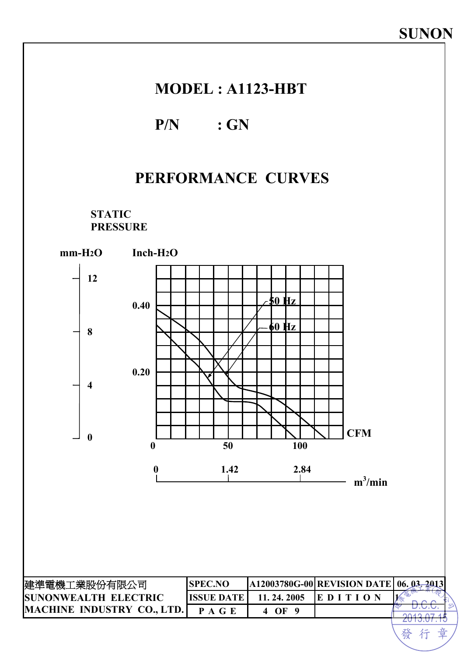### **MODEL : A1123-HBT**

### **P/N : GN**

## **PERFORMANCE CURVES**

**STATIC PRESSURE** 



發 音 行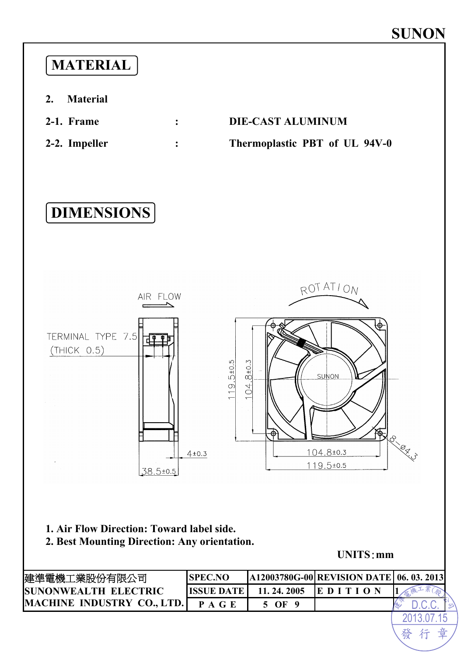

2013.07.15 發 行 章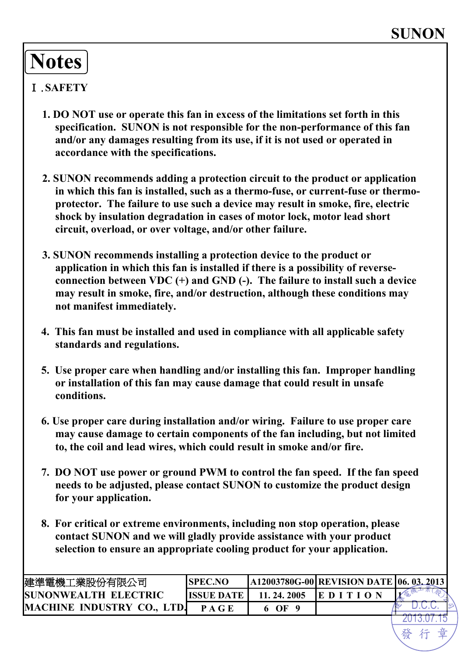# **Notes**

### Ⅰ.**SAFETY**

- **1. DO NOT use or operate this fan in excess of the limitations set forth in this specification. SUNON is not responsible for the non-performance of this fan and/or any damages resulting from its use, if it is not used or operated in accordance with the specifications.**
- **2. SUNON recommends adding a protection circuit to the product or application in which this fan is installed, such as a thermo-fuse, or current-fuse or thermoprotector. The failure to use such a device may result in smoke, fire, electric shock by insulation degradation in cases of motor lock, motor lead short circuit, overload, or over voltage, and/or other failure.**
- **3. SUNON recommends installing a protection device to the product or application in which this fan is installed if there is a possibility of reverseconnection between VDC (+) and GND (-). The failure to install such a device may result in smoke, fire, and/or destruction, although these conditions may not manifest immediately.**
- **4. This fan must be installed and used in compliance with all applicable safety standards and regulations.**
- **5. Use proper care when handling and/or installing this fan. Improper handling or installation of this fan may cause damage that could result in unsafe conditions.**
- **6. Use proper care during installation and/or wiring. Failure to use proper care may cause damage to certain components of the fan including, but not limited to, the coil and lead wires, which could result in smoke and/or fire.**
- **7. DO NOT use power or ground PWM to control the fan speed. If the fan speed needs to be adjusted, please contact SUNON to customize the product design for your application.**
- **8. For critical or extreme environments, including non stop operation, please contact SUNON and we will gladly provide assistance with your product selection to ensure an appropriate cooling product for your application.**

| 建準電機工業股份有限公司                      | 'SPEC.NO          |              | A12003780G-00 REVISION DATE   06. 03. 2013 |  |
|-----------------------------------|-------------------|--------------|--------------------------------------------|--|
| <b>ISUNONWEALTH ELECTRIC</b>      | <b>ISSUE DATE</b> | 11, 24, 2005 | EDI                                        |  |
| <b>MACHINE INDUSTRY CO., LTD.</b> | PAGE              | $\Omega$     |                                            |  |
|                                   |                   |              |                                            |  |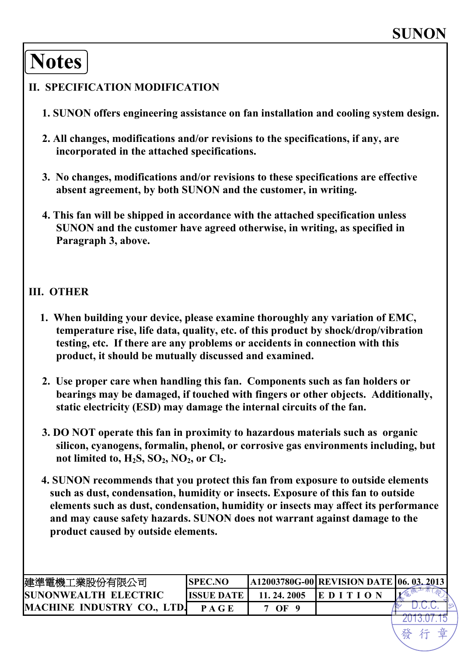# **Notes**

#### **II. SPECIFICATION MODIFICATION**

- **1. SUNON offers engineering assistance on fan installation and cooling system design.**
- **2. All changes, modifications and/or revisions to the specifications, if any, are incorporated in the attached specifications.**
- **3. No changes, modifications and/or revisions to these specifications are effective absent agreement, by both SUNON and the customer, in writing.**
- **4. This fan will be shipped in accordance with the attached specification unless SUNON and the customer have agreed otherwise, in writing, as specified in Paragraph 3, above.**

#### **III. OTHER**

- **1. When building your device, please examine thoroughly any variation of EMC, temperature rise, life data, quality, etc. of this product by shock/drop/vibration testing, etc. If there are any problems or accidents in connection with this product, it should be mutually discussed and examined.**
- **2. Use proper care when handling this fan. Components such as fan holders or bearings may be damaged, if touched with fingers or other objects. Additionally, static electricity (ESD) may damage the internal circuits of the fan.**
- **3. DO NOT operate this fan in proximity to hazardous materials such as organic silicon, cyanogens, formalin, phenol, or corrosive gas environments including, but**  not limited to,  $H_2S$ ,  $SO_2$ ,  $NO_2$ , or  $Cl_2$ .
- **4. SUNON recommends that you protect this fan from exposure to outside elements such as dust, condensation, humidity or insects. Exposure of this fan to outside elements such as dust, condensation, humidity or insects may affect its performance and may cause safety hazards. SUNON does not warrant against damage to the product caused by outside elements.**

| 建準電機工業股份有限公司                      | <b>ISPEC.NO</b>   |            | A12003780G-00 REVISION DATE   06. 03. 2013 |  |
|-----------------------------------|-------------------|------------|--------------------------------------------|--|
| <b>ISUNONWEALTH ELECTRIC</b>      | <b>HSSUE DATE</b> | 11.24.2005 | EDIT                                       |  |
| <b>MACHINE INDUSTRY CO., LTD.</b> | P A G E           | 7 OF       |                                            |  |
|                                   |                   |            |                                            |  |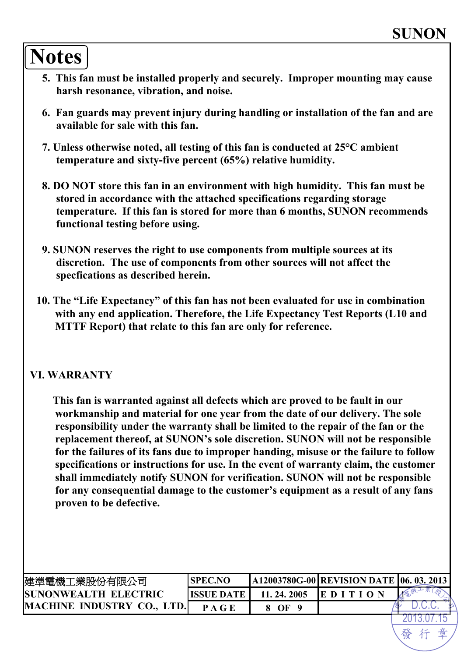# **Notes**

- **5. This fan must be installed properly and securely. Improper mounting may cause harsh resonance, vibration, and noise.**
- **6. Fan guards may prevent injury during handling or installation of the fan and are available for sale with this fan.**
- **7. Unless otherwise noted, all testing of this fan is conducted at 25°C ambient temperature and sixty-five percent (65%) relative humidity.**
- **8. DO NOT store this fan in an environment with high humidity. This fan must be stored in accordance with the attached specifications regarding storage temperature. If this fan is stored for more than 6 months, SUNON recommends functional testing before using.**
- **9. SUNON reserves the right to use components from multiple sources at its discretion. The use of components from other sources will not affect the specfications as described herein.**
- **10. The "Life Expectancy" of this fan has not been evaluated for use in combination with any end application. Therefore, the Life Expectancy Test Reports (L10 and MTTF Report) that relate to this fan are only for reference.**

#### **VI. WARRANTY**

**This fan is warranted against all defects which are proved to be fault in our workmanship and material for one year from the date of our delivery. The sole responsibility under the warranty shall be limited to the repair of the fan or the replacement thereof, at SUNON's sole discretion. SUNON will not be responsible for the failures of its fans due to improper handing, misuse or the failure to follow specifications or instructions for use. In the event of warranty claim, the customer shall immediately notify SUNON for verification. SUNON will not be responsible for any consequential damage to the customer's equipment as a result of any fans proven to be defective.** 

| 建準電機工業股份有限公司                | <b>ISPEC.NO</b>    |            | A12003780G-00 REVISION DATE 06. 03. 2013 |  |
|-----------------------------|--------------------|------------|------------------------------------------|--|
| <b>SUNONWEALTH ELECTRIC</b> | <b>IISSUE DATE</b> | 11.24.2005 |                                          |  |
| MACHINE INDUSTRY CO., LTD.  | P A G E            | OF         |                                          |  |
|                             |                    |            |                                          |  |